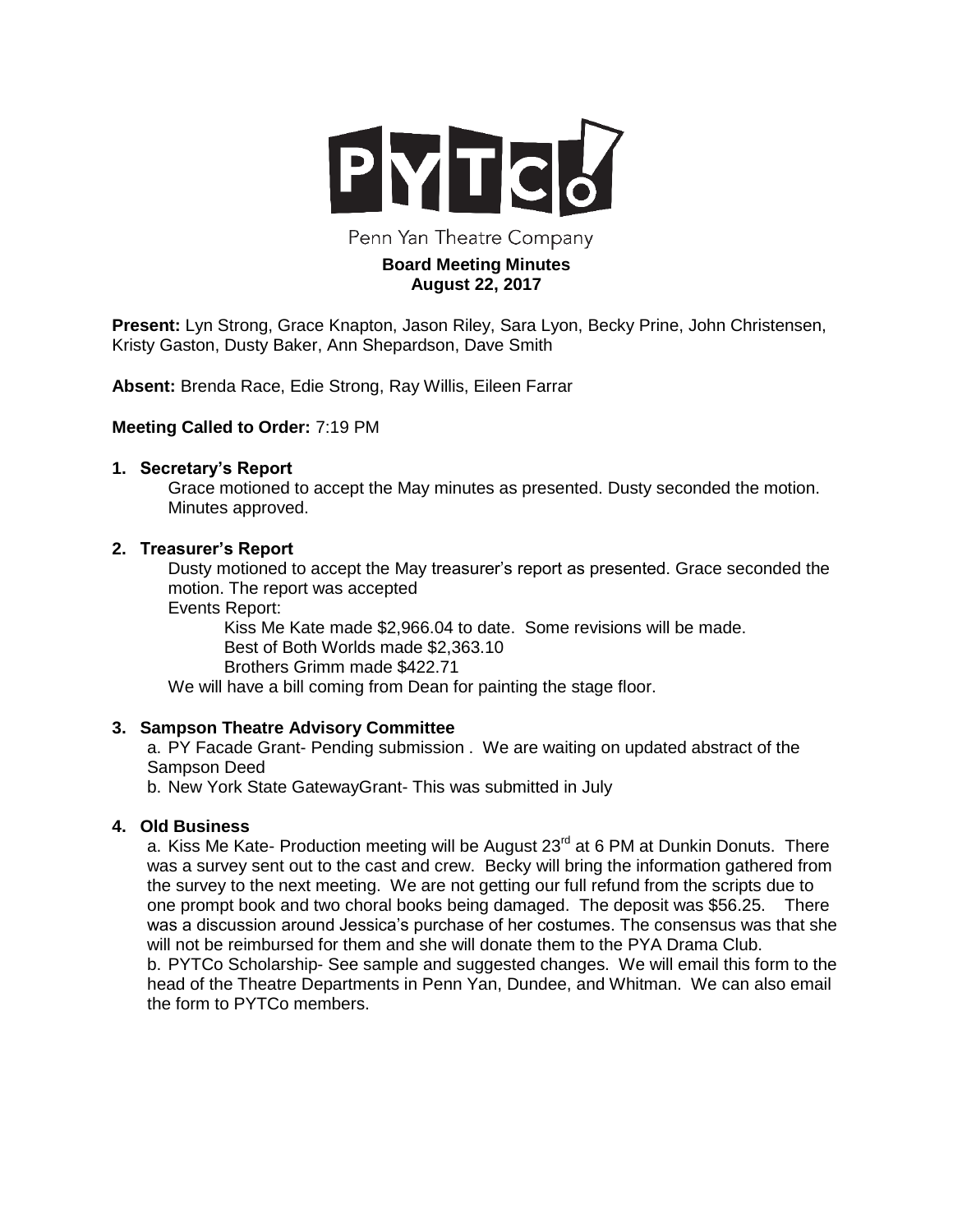

Penn Yan Theatre Company

# **Board Meeting Minutes August 22, 2017**

**Present:** Lyn Strong, Grace Knapton, Jason Riley, Sara Lyon, Becky Prine, John Christensen, Kristy Gaston, Dusty Baker, Ann Shepardson, Dave Smith

**Absent:** Brenda Race, Edie Strong, Ray Willis, Eileen Farrar

### **Meeting Called to Order:** 7:19 PM

#### **1. Secretary's Report**

Grace motioned to accept the May minutes as presented. Dusty seconded the motion. Minutes approved.

#### **2. Treasurer's Report**

Dusty motioned to accept the May treasurer's report as presented. Grace seconded the motion. The report was accepted

Events Report:

Kiss Me Kate made \$2,966.04 to date. Some revisions will be made. Best of Both Worlds made \$2,363.10 Brothers Grimm made \$422.71

We will have a bill coming from Dean for painting the stage floor.

### **3. Sampson Theatre Advisory Committee**

a. PY Facade Grant- Pending submission . We are waiting on updated abstract of the Sampson Deed

b. New York State GatewayGrant- This was submitted in July

## **4. Old Business**

a. Kiss Me Kate- Production meeting will be August  $23<sup>rd</sup>$  at 6 PM at Dunkin Donuts. There was a survey sent out to the cast and crew. Becky will bring the information gathered from the survey to the next meeting. We are not getting our full refund from the scripts due to one prompt book and two choral books being damaged. The deposit was \$56.25. There was a discussion around Jessica's purchase of her costumes. The consensus was that she will not be reimbursed for them and she will donate them to the PYA Drama Club. b. PYTCo Scholarship- See sample and suggested changes. We will email this form to the head of the Theatre Departments in Penn Yan, Dundee, and Whitman. We can also email the form to PYTCo members.